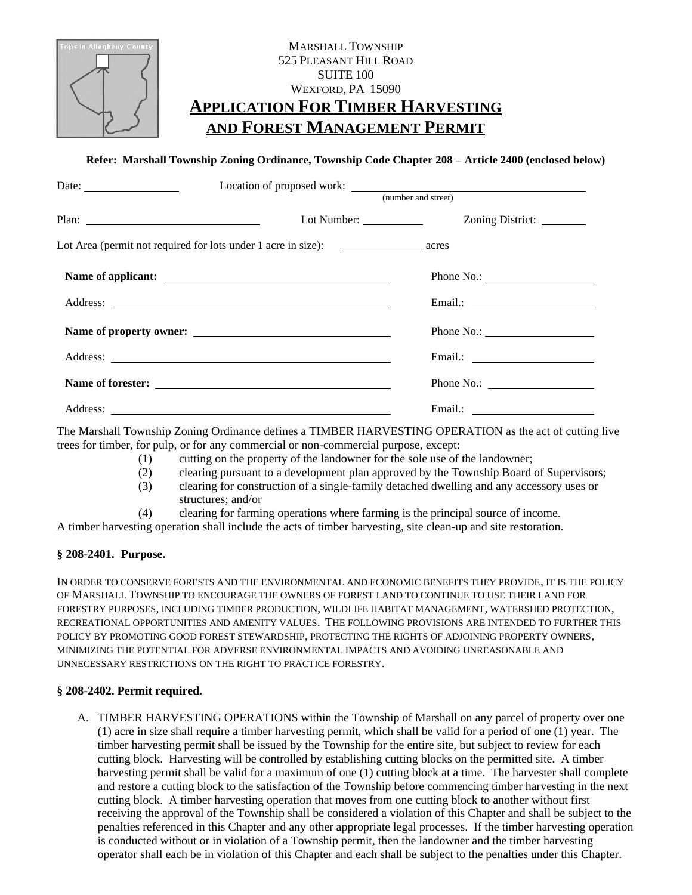

# MARSHALL TOWNSHIP 525 PLEASANT HILL ROAD SUITE 100 WEXFORD, PA 15090 **APPLICATION FOR TIMBER HARVESTING AND FOREST MANAGEMENT PERMIT**

## **Refer: Marshall Township Zoning Ordinance, Township Code Chapter 208 – Article 2400 (enclosed below)**

| Date: $\frac{1}{\sqrt{1-\frac{1}{2}} \cdot \frac{1}{2}}$                                |                     |                           |
|-----------------------------------------------------------------------------------------|---------------------|---------------------------|
|                                                                                         | (number and street) |                           |
|                                                                                         |                     | Zoning District: ________ |
| Lot Area (permit not required for lots under 1 acre in size): ___________________ acres |                     |                           |
|                                                                                         |                     | Phone No.:                |
|                                                                                         |                     |                           |
|                                                                                         |                     | Phone No.:                |
|                                                                                         |                     |                           |
| Name of forester:                                                                       |                     | Phone No.:                |
| Address:                                                                                |                     | Email.:                   |

The Marshall Township Zoning Ordinance defines a TIMBER HARVESTING OPERATION as the act of cutting live trees for timber, for pulp, or for any commercial or non-commercial purpose, except:

- (1) cutting on the property of the landowner for the sole use of the landowner;
- (2) clearing pursuant to a development plan approved by the Township Board of Supervisors;
- (3) clearing for construction of a single-family detached dwelling and any accessory uses or structures; and/or
- (4) clearing for farming operations where farming is the principal source of income.

A timber harvesting operation shall include the acts of timber harvesting, site clean-up and site restoration.

## **§ 208-2401. Purpose.**

IN ORDER TO CONSERVE FORESTS AND THE ENVIRONMENTAL AND ECONOMIC BENEFITS THEY PROVIDE, IT IS THE POLICY OF MARSHALL TOWNSHIP TO ENCOURAGE THE OWNERS OF FOREST LAND TO CONTINUE TO USE THEIR LAND FOR FORESTRY PURPOSES, INCLUDING TIMBER PRODUCTION, WILDLIFE HABITAT MANAGEMENT, WATERSHED PROTECTION, RECREATIONAL OPPORTUNITIES AND AMENITY VALUES. THE FOLLOWING PROVISIONS ARE INTENDED TO FURTHER THIS POLICY BY PROMOTING GOOD FOREST STEWARDSHIP, PROTECTING THE RIGHTS OF ADJOINING PROPERTY OWNERS, MINIMIZING THE POTENTIAL FOR ADVERSE ENVIRONMENTAL IMPACTS AND AVOIDING UNREASONABLE AND UNNECESSARY RESTRICTIONS ON THE RIGHT TO PRACTICE FORESTRY.

#### **§ 208-2402. Permit required.**

A. TIMBER HARVESTING OPERATIONS within the Township of Marshall on any parcel of property over one (1) acre in size shall require a timber harvesting permit, which shall be valid for a period of one (1) year. The timber harvesting permit shall be issued by the Township for the entire site, but subject to review for each cutting block. Harvesting will be controlled by establishing cutting blocks on the permitted site. A timber harvesting permit shall be valid for a maximum of one (1) cutting block at a time. The harvester shall complete and restore a cutting block to the satisfaction of the Township before commencing timber harvesting in the next cutting block. A timber harvesting operation that moves from one cutting block to another without first receiving the approval of the Township shall be considered a violation of this Chapter and shall be subject to the penalties referenced in this Chapter and any other appropriate legal processes. If the timber harvesting operation is conducted without or in violation of a Township permit, then the landowner and the timber harvesting operator shall each be in violation of this Chapter and each shall be subject to the penalties under this Chapter.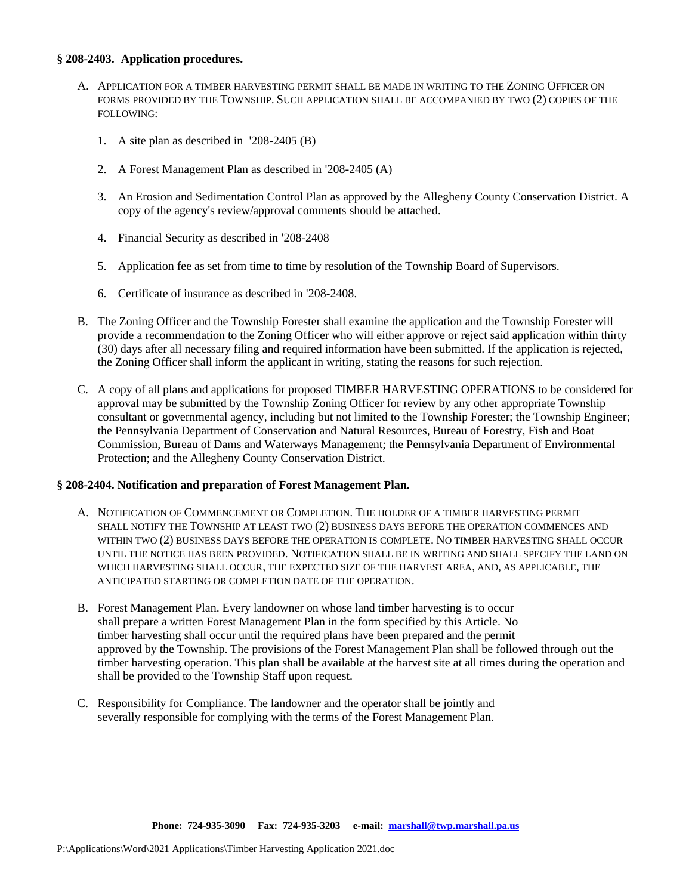#### **§ 208-2403. Application procedures.**

- A. APPLICATION FOR A TIMBER HARVESTING PERMIT SHALL BE MADE IN WRITING TO THE ZONING OFFICER ON FORMS PROVIDED BY THE TOWNSHIP. SUCH APPLICATION SHALL BE ACCOMPANIED BY TWO (2) COPIES OF THE FOLLOWING:
	- 1. A site plan as described in '208-2405 (B)
	- 2. A Forest Management Plan as described in '208-2405 (A)
	- 3. An Erosion and Sedimentation Control Plan as approved by the Allegheny County Conservation District. A copy of the agency's review/approval comments should be attached.
	- 4. Financial Security as described in '208-2408
	- 5. Application fee as set from time to time by resolution of the Township Board of Supervisors.
	- 6. Certificate of insurance as described in '208-2408.
- B. The Zoning Officer and the Township Forester shall examine the application and the Township Forester will provide a recommendation to the Zoning Officer who will either approve or reject said application within thirty (30) days after all necessary filing and required information have been submitted. If the application is rejected, the Zoning Officer shall inform the applicant in writing, stating the reasons for such rejection.
- C. A copy of all plans and applications for proposed TIMBER HARVESTING OPERATIONS to be considered for approval may be submitted by the Township Zoning Officer for review by any other appropriate Township consultant or governmental agency, including but not limited to the Township Forester; the Township Engineer; the Pennsylvania Department of Conservation and Natural Resources, Bureau of Forestry, Fish and Boat Commission, Bureau of Dams and Waterways Management; the Pennsylvania Department of Environmental Protection; and the Allegheny County Conservation District.

#### **§ 208-2404. Notification and preparation of Forest Management Plan.**

- A. NOTIFICATION OF COMMENCEMENT OR COMPLETION. THE HOLDER OF A TIMBER HARVESTING PERMIT SHALL NOTIFY THE TOWNSHIP AT LEAST TWO (2) BUSINESS DAYS BEFORE THE OPERATION COMMENCES AND WITHIN TWO (2) BUSINESS DAYS BEFORE THE OPERATION IS COMPLETE. NO TIMBER HARVESTING SHALL OCCUR UNTIL THE NOTICE HAS BEEN PROVIDED. NOTIFICATION SHALL BE IN WRITING AND SHALL SPECIFY THE LAND ON WHICH HARVESTING SHALL OCCUR, THE EXPECTED SIZE OF THE HARVEST AREA, AND, AS APPLICABLE, THE ANTICIPATED STARTING OR COMPLETION DATE OF THE OPERATION.
- B. Forest Management Plan. Every landowner on whose land timber harvesting is to occur shall prepare a written Forest Management Plan in the form specified by this Article. No timber harvesting shall occur until the required plans have been prepared and the permit approved by the Township. The provisions of the Forest Management Plan shall be followed through out the timber harvesting operation. This plan shall be available at the harvest site at all times during the operation and shall be provided to the Township Staff upon request.
- C. Responsibility for Compliance. The landowner and the operator shall be jointly and severally responsible for complying with the terms of the Forest Management Plan.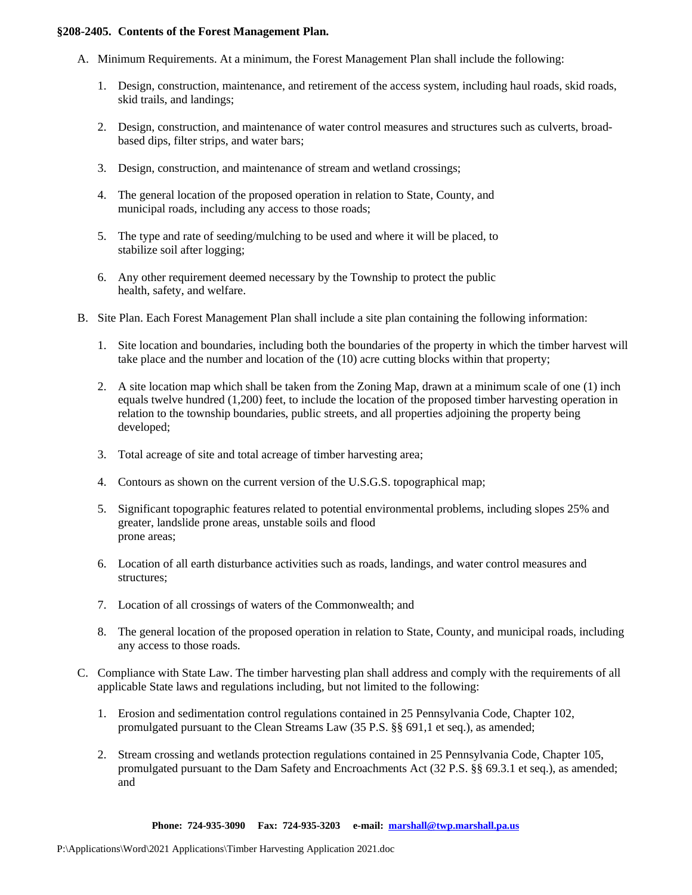#### **§208-2405. Contents of the Forest Management Plan.**

- A. Minimum Requirements. At a minimum, the Forest Management Plan shall include the following:
	- 1. Design, construction, maintenance, and retirement of the access system, including haul roads, skid roads, skid trails, and landings;
	- 2. Design, construction, and maintenance of water control measures and structures such as culverts, broadbased dips, filter strips, and water bars;
	- 3. Design, construction, and maintenance of stream and wetland crossings;
	- 4. The general location of the proposed operation in relation to State, County, and municipal roads, including any access to those roads;
	- 5. The type and rate of seeding/mulching to be used and where it will be placed, to stabilize soil after logging;
	- 6. Any other requirement deemed necessary by the Township to protect the public health, safety, and welfare.
- B. Site Plan. Each Forest Management Plan shall include a site plan containing the following information:
	- 1. Site location and boundaries, including both the boundaries of the property in which the timber harvest will take place and the number and location of the (10) acre cutting blocks within that property;
	- 2. A site location map which shall be taken from the Zoning Map, drawn at a minimum scale of one (1) inch equals twelve hundred (1,200) feet, to include the location of the proposed timber harvesting operation in relation to the township boundaries, public streets, and all properties adjoining the property being developed;
	- 3. Total acreage of site and total acreage of timber harvesting area;
	- 4. Contours as shown on the current version of the U.S.G.S. topographical map;
	- 5. Significant topographic features related to potential environmental problems, including slopes 25% and greater, landslide prone areas, unstable soils and flood prone areas;
	- 6. Location of all earth disturbance activities such as roads, landings, and water control measures and structures;
	- 7. Location of all crossings of waters of the Commonwealth; and
	- 8. The general location of the proposed operation in relation to State, County, and municipal roads, including any access to those roads.
- C. Compliance with State Law. The timber harvesting plan shall address and comply with the requirements of all applicable State laws and regulations including, but not limited to the following:
	- 1. Erosion and sedimentation control regulations contained in 25 Pennsylvania Code, Chapter 102, promulgated pursuant to the Clean Streams Law (35 P.S. §§ 691,1 et seq.), as amended;
	- 2. Stream crossing and wetlands protection regulations contained in 25 Pennsylvania Code, Chapter 105, promulgated pursuant to the Dam Safety and Encroachments Act (32 P.S. §§ 69.3.1 et seq.), as amended; and

**Phone: 724-935-3090 Fax: 724-935-3203 e-mail: [marshall@twp.marshall.pa.us](mailto:marshall@twp.marshall.pa.us)**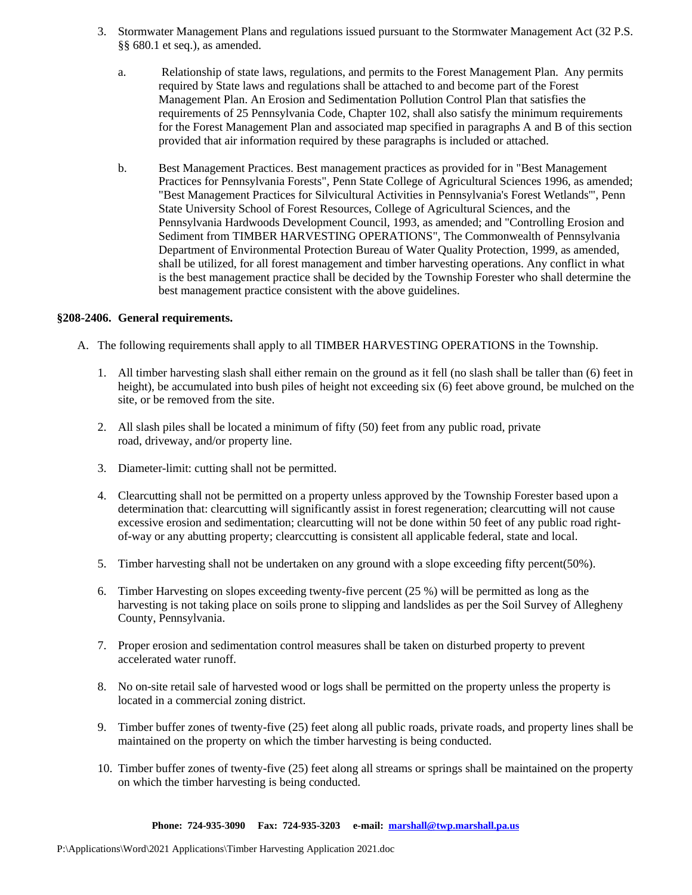- 3. Stormwater Management Plans and regulations issued pursuant to the Stormwater Management Act (32 P.S. §§ 680.1 et seq.), as amended.
	- a. Relationship of state laws, regulations, and permits to the Forest Management Plan. Any permits required by State laws and regulations shall be attached to and become part of the Forest Management Plan. An Erosion and Sedimentation Pollution Control Plan that satisfies the requirements of 25 Pennsylvania Code, Chapter 102, shall also satisfy the minimum requirements for the Forest Management Plan and associated map specified in paragraphs A and B of this section provided that air information required by these paragraphs is included or attached.
	- b. Best Management Practices. Best management practices as provided for in "Best Management Practices for Pennsylvania Forests", Penn State College of Agricultural Sciences 1996, as amended; "Best Management Practices for Silvicultural Activities in Pennsylvania's Forest Wetlands'", Penn State University School of Forest Resources, College of Agricultural Sciences, and the Pennsylvania Hardwoods Development Council, 1993, as amended; and "Controlling Erosion and Sediment from TIMBER HARVESTING OPERATIONS", The Commonwealth of Pennsylvania Department of Environmental Protection Bureau of Water Quality Protection, 1999, as amended, shall be utilized, for all forest management and timber harvesting operations. Any conflict in what is the best management practice shall be decided by the Township Forester who shall determine the best management practice consistent with the above guidelines.

#### **§208-2406. General requirements.**

- A. The following requirements shall apply to all TIMBER HARVESTING OPERATIONS in the Township.
	- 1. All timber harvesting slash shall either remain on the ground as it fell (no slash shall be taller than (6) feet in height), be accumulated into bush piles of height not exceeding six (6) feet above ground, be mulched on the site, or be removed from the site.
	- 2. All slash piles shall be located a minimum of fifty (50) feet from any public road, private road, driveway, and/or property line.
	- 3. Diameter-limit: cutting shall not be permitted.
	- 4. Clearcutting shall not be permitted on a property unless approved by the Township Forester based upon a determination that: clearcutting will significantly assist in forest regeneration; clearcutting will not cause excessive erosion and sedimentation; clearcutting will not be done within 50 feet of any public road rightof-way or any abutting property; clearccutting is consistent all applicable federal, state and local.
	- 5. Timber harvesting shall not be undertaken on any ground with a slope exceeding fifty percent(50%).
	- 6. Timber Harvesting on slopes exceeding twenty-five percent (25 %) will be permitted as long as the harvesting is not taking place on soils prone to slipping and landslides as per the Soil Survey of Allegheny County, Pennsylvania.
	- 7. Proper erosion and sedimentation control measures shall be taken on disturbed property to prevent accelerated water runoff.
	- 8. No on-site retail sale of harvested wood or logs shall be permitted on the property unless the property is located in a commercial zoning district.
	- 9. Timber buffer zones of twenty-five (25) feet along all public roads, private roads, and property lines shall be maintained on the property on which the timber harvesting is being conducted.
	- 10. Timber buffer zones of twenty-five (25) feet along all streams or springs shall be maintained on the property on which the timber harvesting is being conducted.

**Phone: 724-935-3090 Fax: 724-935-3203 e-mail: [marshall@twp.marshall.pa.us](mailto:marshall@twp.marshall.pa.us)**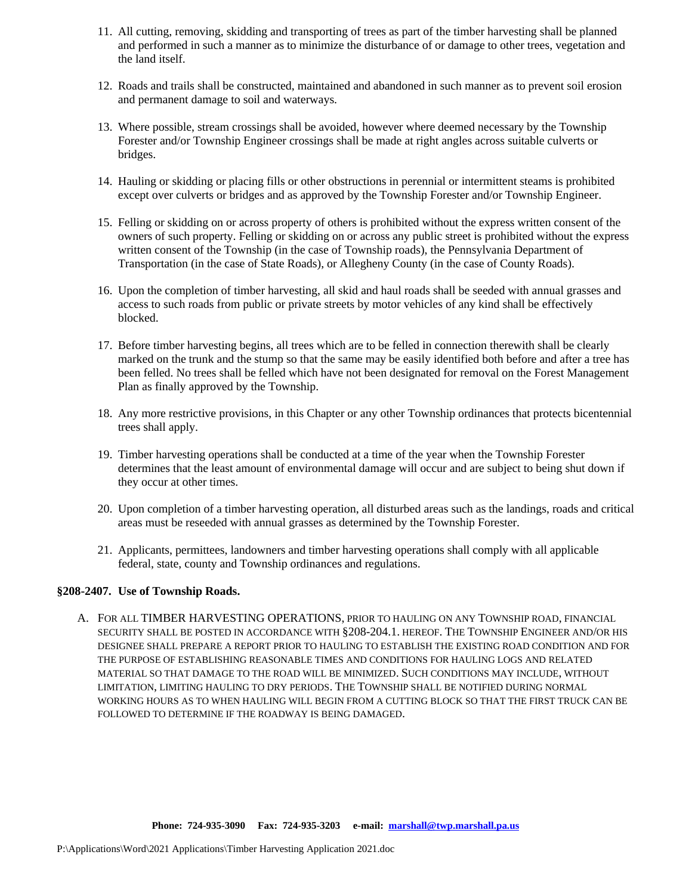- 11. All cutting, removing, skidding and transporting of trees as part of the timber harvesting shall be planned and performed in such a manner as to minimize the disturbance of or damage to other trees, vegetation and the land itself.
- 12. Roads and trails shall be constructed, maintained and abandoned in such manner as to prevent soil erosion and permanent damage to soil and waterways.
- 13. Where possible, stream crossings shall be avoided, however where deemed necessary by the Township Forester and/or Township Engineer crossings shall be made at right angles across suitable culverts or bridges.
- 14. Hauling or skidding or placing fills or other obstructions in perennial or intermittent steams is prohibited except over culverts or bridges and as approved by the Township Forester and/or Township Engineer.
- 15. Felling or skidding on or across property of others is prohibited without the express written consent of the owners of such property. Felling or skidding on or across any public street is prohibited without the express written consent of the Township (in the case of Township roads), the Pennsylvania Department of Transportation (in the case of State Roads), or Allegheny County (in the case of County Roads).
- 16. Upon the completion of timber harvesting, all skid and haul roads shall be seeded with annual grasses and access to such roads from public or private streets by motor vehicles of any kind shall be effectively blocked.
- 17. Before timber harvesting begins, all trees which are to be felled in connection therewith shall be clearly marked on the trunk and the stump so that the same may be easily identified both before and after a tree has been felled. No trees shall be felled which have not been designated for removal on the Forest Management Plan as finally approved by the Township.
- 18. Any more restrictive provisions, in this Chapter or any other Township ordinances that protects bicentennial trees shall apply.
- 19. Timber harvesting operations shall be conducted at a time of the year when the Township Forester determines that the least amount of environmental damage will occur and are subject to being shut down if they occur at other times.
- 20. Upon completion of a timber harvesting operation, all disturbed areas such as the landings, roads and critical areas must be reseeded with annual grasses as determined by the Township Forester.
- 21. Applicants, permittees, landowners and timber harvesting operations shall comply with all applicable federal, state, county and Township ordinances and regulations.

#### **§208-2407. Use of Township Roads.**

A. FOR ALL TIMBER HARVESTING OPERATIONS, PRIOR TO HAULING ON ANY TOWNSHIP ROAD, FINANCIAL SECURITY SHALL BE POSTED IN ACCORDANCE WITH §208-204.1. HEREOF. THE TOWNSHIP ENGINEER AND/OR HIS DESIGNEE SHALL PREPARE A REPORT PRIOR TO HAULING TO ESTABLISH THE EXISTING ROAD CONDITION AND FOR THE PURPOSE OF ESTABLISHING REASONABLE TIMES AND CONDITIONS FOR HAULING LOGS AND RELATED MATERIAL SO THAT DAMAGE TO THE ROAD WILL BE MINIMIZED. SUCH CONDITIONS MAY INCLUDE, WITHOUT LIMITATION, LIMITING HAULING TO DRY PERIODS. THE TOWNSHIP SHALL BE NOTIFIED DURING NORMAL WORKING HOURS AS TO WHEN HAULING WILL BEGIN FROM A CUTTING BLOCK SO THAT THE FIRST TRUCK CAN BE FOLLOWED TO DETERMINE IF THE ROADWAY IS BEING DAMAGED.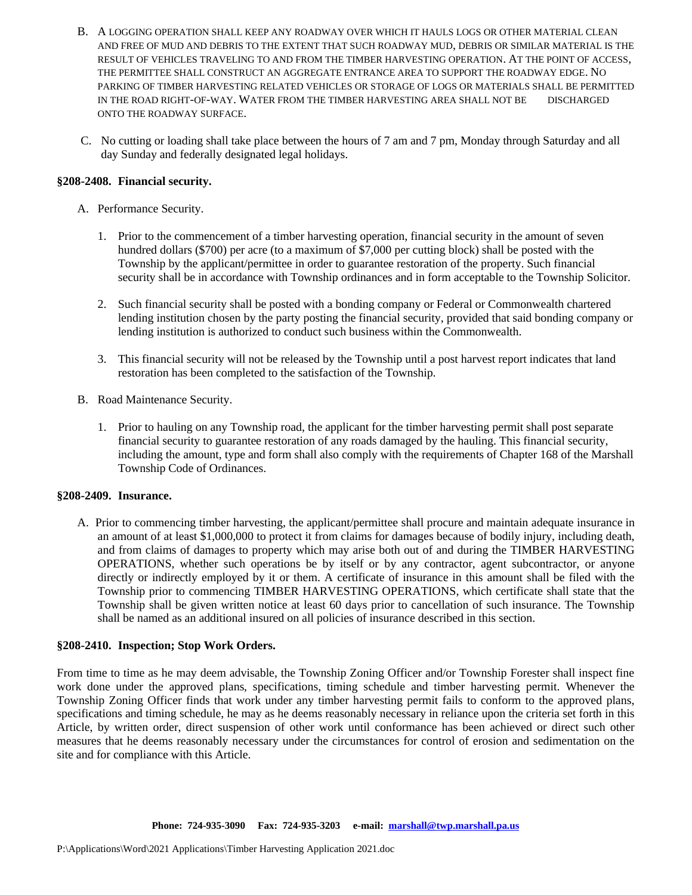- B. A LOGGING OPERATION SHALL KEEP ANY ROADWAY OVER WHICH IT HAULS LOGS OR OTHER MATERIAL CLEAN AND FREE OF MUD AND DEBRIS TO THE EXTENT THAT SUCH ROADWAY MUD, DEBRIS OR SIMILAR MATERIAL IS THE RESULT OF VEHICLES TRAVELING TO AND FROM THE TIMBER HARVESTING OPERATION. AT THE POINT OF ACCESS, THE PERMITTEE SHALL CONSTRUCT AN AGGREGATE ENTRANCE AREA TO SUPPORT THE ROADWAY EDGE. NO PARKING OF TIMBER HARVESTING RELATED VEHICLES OR STORAGE OF LOGS OR MATERIALS SHALL BE PERMITTED IN THE ROAD RIGHT-OF-WAY. WATER FROM THE TIMBER HARVESTING AREA SHALL NOT BE DISCHARGED ONTO THE ROADWAY SURFACE.
- C. No cutting or loading shall take place between the hours of 7 am and 7 pm, Monday through Saturday and all day Sunday and federally designated legal holidays.

### **§208-2408. Financial security.**

- A. Performance Security.
	- 1. Prior to the commencement of a timber harvesting operation, financial security in the amount of seven hundred dollars (\$700) per acre (to a maximum of \$7,000 per cutting block) shall be posted with the Township by the applicant/permittee in order to guarantee restoration of the property. Such financial security shall be in accordance with Township ordinances and in form acceptable to the Township Solicitor.
	- 2. Such financial security shall be posted with a bonding company or Federal or Commonwealth chartered lending institution chosen by the party posting the financial security, provided that said bonding company or lending institution is authorized to conduct such business within the Commonwealth.
	- 3. This financial security will not be released by the Township until a post harvest report indicates that land restoration has been completed to the satisfaction of the Township.
- B. Road Maintenance Security.
	- 1. Prior to hauling on any Township road, the applicant for the timber harvesting permit shall post separate financial security to guarantee restoration of any roads damaged by the hauling. This financial security, including the amount, type and form shall also comply with the requirements of Chapter 168 of the Marshall Township Code of Ordinances.

#### **§208-2409. Insurance.**

A. Prior to commencing timber harvesting, the applicant/permittee shall procure and maintain adequate insurance in an amount of at least \$1,000,000 to protect it from claims for damages because of bodily injury, including death, and from claims of damages to property which may arise both out of and during the TIMBER HARVESTING OPERATIONS, whether such operations be by itself or by any contractor, agent subcontractor, or anyone directly or indirectly employed by it or them. A certificate of insurance in this amount shall be filed with the Township prior to commencing TIMBER HARVESTING OPERATIONS, which certificate shall state that the Township shall be given written notice at least 60 days prior to cancellation of such insurance. The Township shall be named as an additional insured on all policies of insurance described in this section.

#### **§208-2410. Inspection; Stop Work Orders.**

From time to time as he may deem advisable, the Township Zoning Officer and/or Township Forester shall inspect fine work done under the approved plans, specifications, timing schedule and timber harvesting permit. Whenever the Township Zoning Officer finds that work under any timber harvesting permit fails to conform to the approved plans, specifications and timing schedule, he may as he deems reasonably necessary in reliance upon the criteria set forth in this Article, by written order, direct suspension of other work until conformance has been achieved or direct such other measures that he deems reasonably necessary under the circumstances for control of erosion and sedimentation on the site and for compliance with this Article.